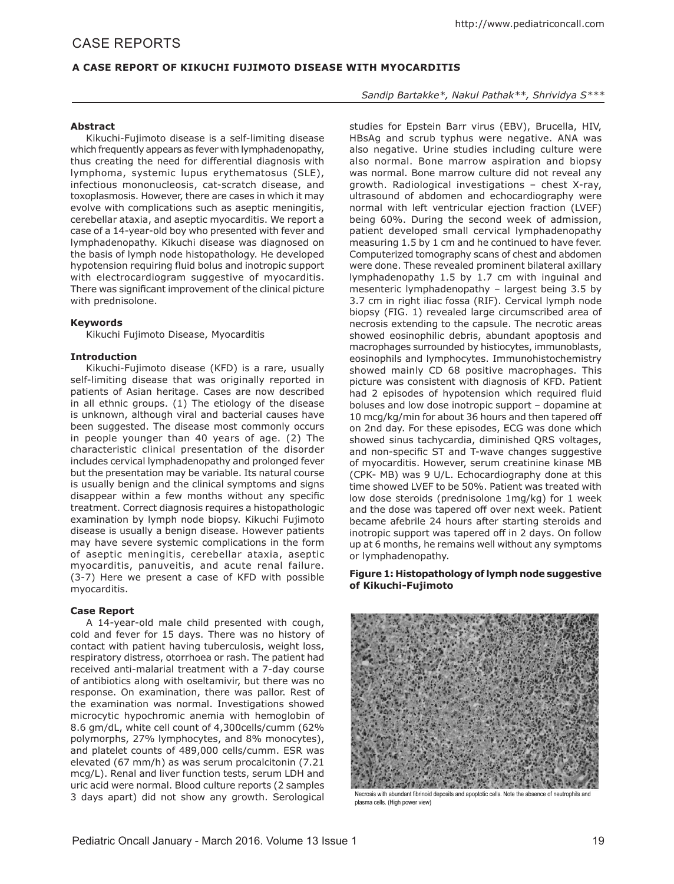# **A CASE REPORT OF KIKUCHI FUJIMOTO DISEASE WITH MYOCARDITIS**

#### **Abstract**

Kikuchi-Fujimoto disease is a self-limiting disease which frequently appears as fever with lymphadenopathy, thus creating the need for differential diagnosis with lymphoma, systemic lupus erythematosus (SLE), infectious mononucleosis, cat-scratch disease, and toxoplasmosis. However, there are cases in which it may evolve with complications such as aseptic meningitis, cerebellar ataxia, and aseptic myocarditis. We report a case of a 14-year-old boy who presented with fever and lymphadenopathy. Kikuchi disease was diagnosed on the basis of lymph node histopathology. He developed hypotension requiring fluid bolus and inotropic support with electrocardiogram suggestive of myocarditis. There was significant improvement of the clinical picture with prednisolone.

#### **Keywords**

Kikuchi Fujimoto Disease, Myocarditis

#### **Introduction**

Kikuchi-Fujimoto disease (KFD) is a rare, usually self-limiting disease that was originally reported in patients of Asian heritage. Cases are now described in all ethnic groups. (1) The etiology of the disease is unknown, although viral and bacterial causes have been suggested. The disease most commonly occurs in people younger than 40 years of age. (2) The characteristic clinical presentation of the disorder includes cervical lymphadenopathy and prolonged fever but the presentation may be variable. Its natural course is usually benign and the clinical symptoms and signs disappear within a few months without any specific treatment. Correct diagnosis requires a histopathologic examination by lymph node biopsy. Kikuchi Fujimoto disease is usually a benign disease. However patients may have severe systemic complications in the form of aseptic meningitis, cerebellar ataxia, aseptic myocarditis, panuveitis, and acute renal failure. (3-7) Here we present a case of KFD with possible myocarditis.

## **Case Report**

A 14-year-old male child presented with cough, cold and fever for 15 days. There was no history of contact with patient having tuberculosis, weight loss, respiratory distress, otorrhoea or rash. The patient had received anti-malarial treatment with a 7-day course of antibiotics along with oseltamivir, but there was no response. On examination, there was pallor. Rest of the examination was normal. Investigations showed microcytic hypochromic anemia with hemoglobin of 8.6 gm/dL, white cell count of 4,300cells/cumm (62% polymorphs, 27% lymphocytes, and 8% monocytes), and platelet counts of 489,000 cells/cumm. ESR was elevated (67 mm/h) as was serum procalcitonin (7.21 mcg/L). Renal and liver function tests, serum LDH and uric acid were normal. Blood culture reports (2 samples 3 days apart) did not show any growth. Serological

# *Sandip Bartakke\*, Nakul Pathak\*\*, Shrividya S\*\*\**

studies for Epstein Barr virus (EBV), Brucella, HIV, HBsAg and scrub typhus were negative. ANA was also negative. Urine studies including culture were also normal. Bone marrow aspiration and biopsy was normal. Bone marrow culture did not reveal any growth. Radiological investigations – chest X-ray, ultrasound of abdomen and echocardiography were normal with left ventricular ejection fraction (LVEF) being 60%. During the second week of admission, patient developed small cervical lymphadenopathy measuring 1.5 by 1 cm and he continued to have fever. Computerized tomography scans of chest and abdomen were done. These revealed prominent bilateral axillary lymphadenopathy 1.5 by 1.7 cm with inguinal and mesenteric lymphadenopathy – largest being 3.5 by 3.7 cm in right iliac fossa (RIF). Cervical lymph node biopsy (FIG. 1) revealed large circumscribed area of necrosis extending to the capsule. The necrotic areas showed eosinophilic debris, abundant apoptosis and macrophages surrounded by histiocytes, immunoblasts, eosinophils and lymphocytes. Immunohistochemistry showed mainly CD 68 positive macrophages. This picture was consistent with diagnosis of KFD. Patient had 2 episodes of hypotension which required fluid boluses and low dose inotropic support – dopamine at 10 mcg/kg/min for about 36 hours and then tapered off on 2nd day. For these episodes, ECG was done which showed sinus tachycardia, diminished QRS voltages, and non-specific ST and T-wave changes suggestive of myocarditis. However, serum creatinine kinase MB (CPK- MB) was 9 U/L. Echocardiography done at this time showed LVEF to be 50%. Patient was treated with low dose steroids (prednisolone 1mg/kg) for 1 week and the dose was tapered off over next week. Patient became afebrile 24 hours after starting steroids and inotropic support was tapered off in 2 days. On follow up at 6 months, he remains well without any symptoms or lymphadenopathy.

## **Figure 1: Histopathology of lymph node suggestive of Kikuchi-Fujimoto**



Necrosis with abundant fibrinoid deposits and apoptotic cells. Note the absence of neutrophils and plasma cells. (High power view)